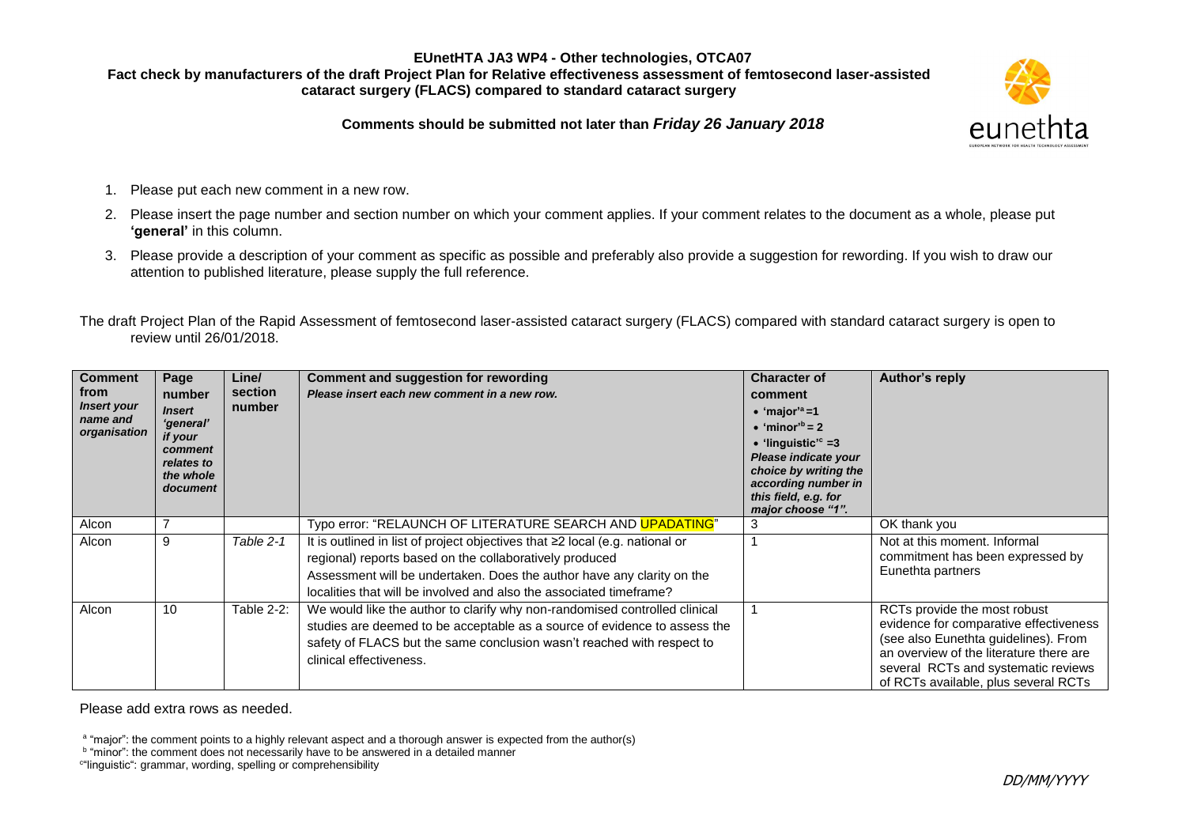### **EUnetHTA JA3 WP4 - Other technologies, OTCA07 Fact check by manufacturers of the draft Project Plan for Relative effectiveness assessment of femtosecond laser-assisted cataract surgery (FLACS) compared to standard cataract surgery**



**Comments should be submitted not later than** *Friday 26 January 2018*

- 1. Please put each new comment in a new row.
- 2. Please insert the page number and section number on which your comment applies. If your comment relates to the document as a whole, please put **'general'** in this column.
- 3. Please provide a description of your comment as specific as possible and preferably also provide a suggestion for rewording. If you wish to draw our attention to published literature, please supply the full reference.

The draft Project Plan of the Rapid Assessment of femtosecond laser-assisted cataract surgery (FLACS) compared with standard cataract surgery is open to review until 26/01/2018.

| <b>Comment</b><br>from<br><b>Insert your</b><br>name and<br>organisation | Page<br>number<br><b>Insert</b><br>'general'<br>if your<br>comment<br>relates to<br>the whole<br>document | Line/<br>section<br>number | <b>Comment and suggestion for rewording</b><br>Please insert each new comment in a new row.                                                                                                                                                                                              | <b>Character of</b><br>comment<br>$\bullet$ 'major' <sup>a</sup> =1<br>$\bullet$ 'minor' <sup>b</sup> = 2<br>$\bullet$ 'linguistic' <sup>c</sup> =3<br>Please indicate your<br>choice by writing the<br>according number in<br>this field, e.g. for<br>major choose "1". | <b>Author's reply</b>                                                                                                                                                                                                                    |
|--------------------------------------------------------------------------|-----------------------------------------------------------------------------------------------------------|----------------------------|------------------------------------------------------------------------------------------------------------------------------------------------------------------------------------------------------------------------------------------------------------------------------------------|--------------------------------------------------------------------------------------------------------------------------------------------------------------------------------------------------------------------------------------------------------------------------|------------------------------------------------------------------------------------------------------------------------------------------------------------------------------------------------------------------------------------------|
| Alcon                                                                    |                                                                                                           |                            | Typo error: "RELAUNCH OF LITERATURE SEARCH AND UPADATING"                                                                                                                                                                                                                                |                                                                                                                                                                                                                                                                          | OK thank you                                                                                                                                                                                                                             |
| Alcon                                                                    | 9                                                                                                         | Table 2-1                  | It is outlined in list of project objectives that ≥2 local (e.g. national or<br>regional) reports based on the collaboratively produced<br>Assessment will be undertaken. Does the author have any clarity on the<br>localities that will be involved and also the associated timeframe? |                                                                                                                                                                                                                                                                          | Not at this moment. Informal<br>commitment has been expressed by<br>Eunethta partners                                                                                                                                                    |
| Alcon                                                                    | 10                                                                                                        | Table 2-2:                 | We would like the author to clarify why non-randomised controlled clinical<br>studies are deemed to be acceptable as a source of evidence to assess the<br>safety of FLACS but the same conclusion wasn't reached with respect to<br>clinical effectiveness.                             |                                                                                                                                                                                                                                                                          | RCTs provide the most robust<br>evidence for comparative effectiveness<br>(see also Eunethta guidelines). From<br>an overview of the literature there are<br>several RCTs and systematic reviews<br>of RCTs available, plus several RCTs |

Please add extra rows as needed.

<sup>a</sup> "major": the comment points to a highly relevant aspect and a thorough answer is expected from the author(s)

<sup>b</sup> "minor": the comment does not necessarily have to be answered in a detailed manner

c "linguistic": grammar, wording, spelling or comprehensibility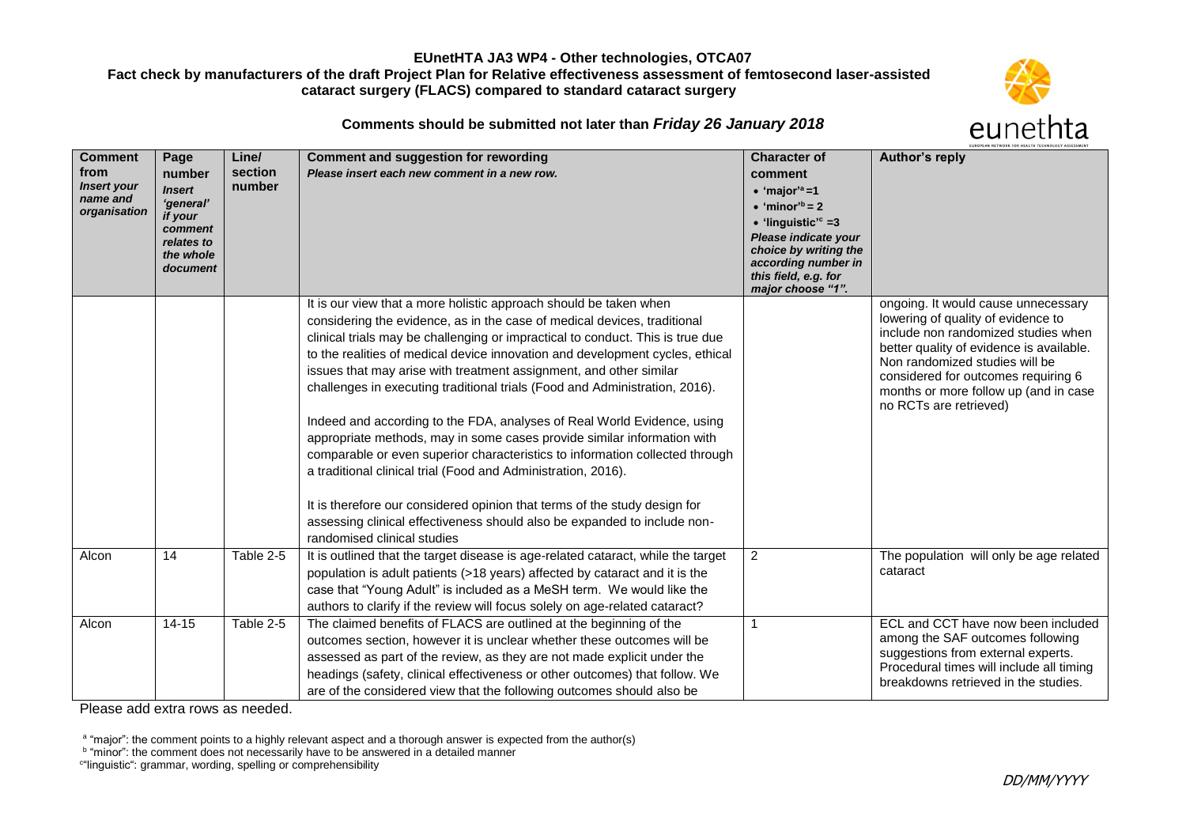### **EUnetHTA JA3 WP4 - Other technologies, OTCA07**

# **Fact check by manufacturers of the draft Project Plan for Relative effectiveness assessment of femtosecond laser-assisted cataract surgery (FLACS) compared to standard cataract surgery**



**Comments should be submitted not later than** *Friday 26 January 2018*

| <b>Comment</b><br>from<br><b>Insert your</b><br>name and<br>organisation | Page<br>number<br><b>Insert</b><br>'general'<br>if your<br>comment<br>relates to<br>the whole<br>document | Line/<br>section<br>number | <b>Comment and suggestion for rewording</b><br>Please insert each new comment in a new row.                                                                                                                                                                                                                                                                                                                                                                                                                                                                                                                                                                                                                                                                                                                                                                                                                                                                          | <b>Character of</b><br>comment<br>$\bullet$ 'major' <sup>a</sup> =1<br>$\bullet$ 'minor <sup>b</sup> = 2<br>$\bullet$ 'linguistic' <sup>c</sup> =3<br>Please indicate your<br>choice by writing the<br>according number in<br>this field, e.g. for<br>major choose "1". | Author's reply                                                                                                                                                                                                                                                                                           |
|--------------------------------------------------------------------------|-----------------------------------------------------------------------------------------------------------|----------------------------|----------------------------------------------------------------------------------------------------------------------------------------------------------------------------------------------------------------------------------------------------------------------------------------------------------------------------------------------------------------------------------------------------------------------------------------------------------------------------------------------------------------------------------------------------------------------------------------------------------------------------------------------------------------------------------------------------------------------------------------------------------------------------------------------------------------------------------------------------------------------------------------------------------------------------------------------------------------------|-------------------------------------------------------------------------------------------------------------------------------------------------------------------------------------------------------------------------------------------------------------------------|----------------------------------------------------------------------------------------------------------------------------------------------------------------------------------------------------------------------------------------------------------------------------------------------------------|
|                                                                          |                                                                                                           |                            | It is our view that a more holistic approach should be taken when<br>considering the evidence, as in the case of medical devices, traditional<br>clinical trials may be challenging or impractical to conduct. This is true due<br>to the realities of medical device innovation and development cycles, ethical<br>issues that may arise with treatment assignment, and other similar<br>challenges in executing traditional trials (Food and Administration, 2016).<br>Indeed and according to the FDA, analyses of Real World Evidence, using<br>appropriate methods, may in some cases provide similar information with<br>comparable or even superior characteristics to information collected through<br>a traditional clinical trial (Food and Administration, 2016).<br>It is therefore our considered opinion that terms of the study design for<br>assessing clinical effectiveness should also be expanded to include non-<br>randomised clinical studies |                                                                                                                                                                                                                                                                         | ongoing. It would cause unnecessary<br>lowering of quality of evidence to<br>include non randomized studies when<br>better quality of evidence is available.<br>Non randomized studies will be<br>considered for outcomes requiring 6<br>months or more follow up (and in case<br>no RCTs are retrieved) |
| Alcon                                                                    | 14                                                                                                        | Table 2-5                  | It is outlined that the target disease is age-related cataract, while the target<br>population is adult patients (>18 years) affected by cataract and it is the<br>case that "Young Adult" is included as a MeSH term. We would like the<br>authors to clarify if the review will focus solely on age-related cataract?                                                                                                                                                                                                                                                                                                                                                                                                                                                                                                                                                                                                                                              | $\overline{2}$                                                                                                                                                                                                                                                          | The population will only be age related<br>cataract                                                                                                                                                                                                                                                      |
| Alcon                                                                    | $14 - 15$                                                                                                 | Table 2-5                  | The claimed benefits of FLACS are outlined at the beginning of the<br>outcomes section, however it is unclear whether these outcomes will be<br>assessed as part of the review, as they are not made explicit under the<br>headings (safety, clinical effectiveness or other outcomes) that follow. We<br>are of the considered view that the following outcomes should also be                                                                                                                                                                                                                                                                                                                                                                                                                                                                                                                                                                                      | 1                                                                                                                                                                                                                                                                       | ECL and CCT have now been included<br>among the SAF outcomes following<br>suggestions from external experts.<br>Procedural times will include all timing<br>breakdowns retrieved in the studies.                                                                                                         |

Please add extra rows as needed.

<sup>a</sup> "major": the comment points to a highly relevant aspect and a thorough answer is expected from the author(s)<br><sup>b</sup> "minor": the comment does not necessarily have to be answered in a detailed manner

c "linguistic": grammar, wording, spelling or comprehensibility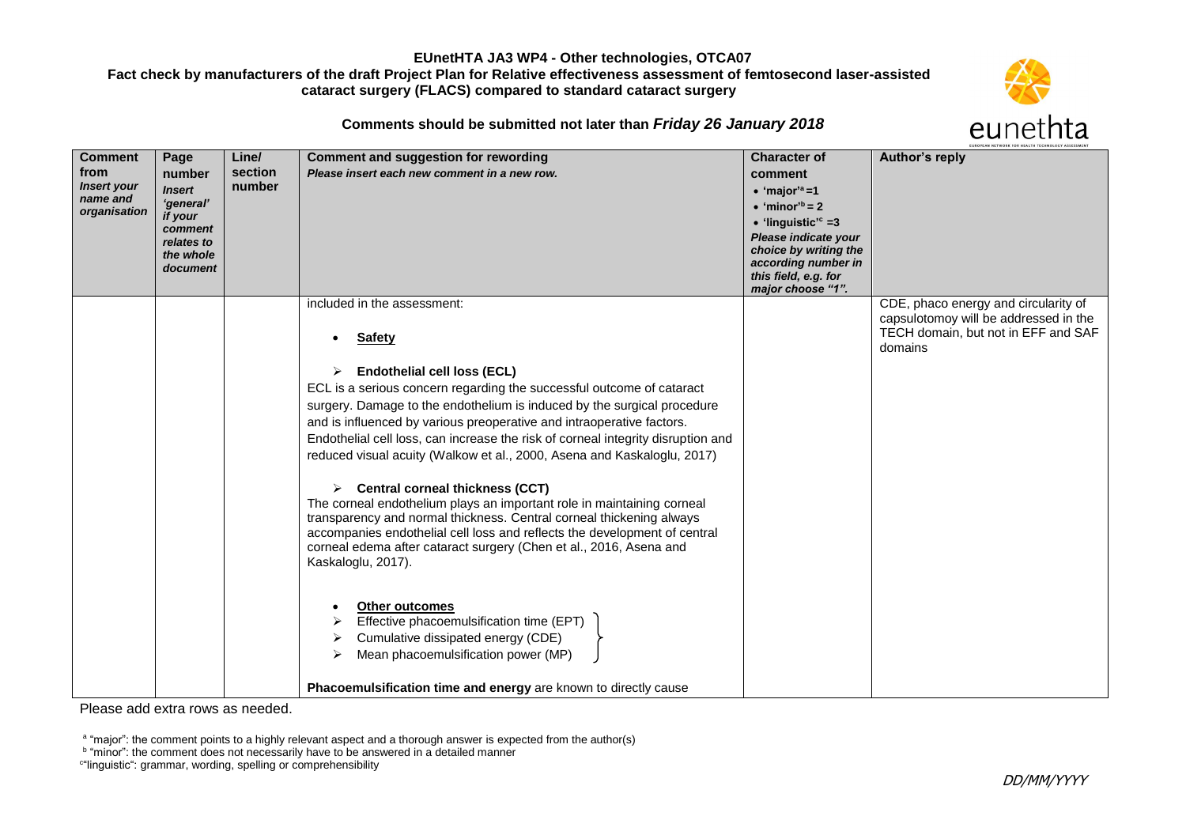### **EUnetHTA JA3 WP4 - Other technologies, OTCA07**

# **Fact check by manufacturers of the draft Project Plan for Relative effectiveness assessment of femtosecond laser-assisted cataract surgery (FLACS) compared to standard cataract surgery**



**Comments should be submitted not later than** *Friday 26 January 2018*

| <b>Comment</b>                 | Page                  | Line/   | <b>Comment and suggestion for rewording</b>                                                                                                     | <b>Character of</b>                           | Author's reply                        |
|--------------------------------|-----------------------|---------|-------------------------------------------------------------------------------------------------------------------------------------------------|-----------------------------------------------|---------------------------------------|
| from                           | number                | section | Please insert each new comment in a new row.                                                                                                    | comment                                       |                                       |
| <b>Insert your</b><br>name and | <b>Insert</b>         | number  |                                                                                                                                                 | $\bullet$ 'major' <sup>a</sup> =1             |                                       |
| organisation                   | 'general'<br>if your  |         |                                                                                                                                                 | $\bullet$ 'minor <sup>'b</sup> = 2            |                                       |
|                                | comment               |         |                                                                                                                                                 | $\bullet$ 'linguistic' <sup>c</sup> =3        |                                       |
|                                | relates to            |         |                                                                                                                                                 | Please indicate your<br>choice by writing the |                                       |
|                                | the whole<br>document |         |                                                                                                                                                 | according number in                           |                                       |
|                                |                       |         |                                                                                                                                                 | this field, e.g. for                          |                                       |
|                                |                       |         | included in the assessment:                                                                                                                     | major choose "1".                             | CDE, phaco energy and circularity of  |
|                                |                       |         |                                                                                                                                                 |                                               | capsulotomoy will be addressed in the |
|                                |                       |         | <b>Safety</b>                                                                                                                                   |                                               | TECH domain, but not in EFF and SAF   |
|                                |                       |         |                                                                                                                                                 |                                               | domains                               |
|                                |                       |         | <b>Endothelial cell loss (ECL)</b>                                                                                                              |                                               |                                       |
|                                |                       |         | ECL is a serious concern regarding the successful outcome of cataract                                                                           |                                               |                                       |
|                                |                       |         | surgery. Damage to the endothelium is induced by the surgical procedure                                                                         |                                               |                                       |
|                                |                       |         | and is influenced by various preoperative and intraoperative factors.                                                                           |                                               |                                       |
|                                |                       |         | Endothelial cell loss, can increase the risk of corneal integrity disruption and                                                                |                                               |                                       |
|                                |                       |         | reduced visual acuity (Walkow et al., 2000, Asena and Kaskaloglu, 2017)                                                                         |                                               |                                       |
|                                |                       |         | <b>Central corneal thickness (CCT)</b>                                                                                                          |                                               |                                       |
|                                |                       |         | The corneal endothelium plays an important role in maintaining corneal                                                                          |                                               |                                       |
|                                |                       |         | transparency and normal thickness. Central corneal thickening always                                                                            |                                               |                                       |
|                                |                       |         | accompanies endothelial cell loss and reflects the development of central<br>corneal edema after cataract surgery (Chen et al., 2016, Asena and |                                               |                                       |
|                                |                       |         | Kaskaloglu, 2017).                                                                                                                              |                                               |                                       |
|                                |                       |         |                                                                                                                                                 |                                               |                                       |
|                                |                       |         | <b>Other outcomes</b>                                                                                                                           |                                               |                                       |
|                                |                       |         | Effective phacoemulsification time (EPT)                                                                                                        |                                               |                                       |
|                                |                       |         | Cumulative dissipated energy (CDE)                                                                                                              |                                               |                                       |
|                                |                       |         | Mean phacoemulsification power (MP)                                                                                                             |                                               |                                       |
|                                |                       |         |                                                                                                                                                 |                                               |                                       |
|                                |                       |         | Phacoemulsification time and energy are known to directly cause                                                                                 |                                               |                                       |

Please add extra rows as needed.

<sup>a</sup> "major": the comment points to a highly relevant aspect and a thorough answer is expected from the author(s)

<sup>&</sup>lt;sup>b</sup> "minor": the comment does not necessarily have to be answered in a detailed manner

c "linguistic": grammar, wording, spelling or comprehensibility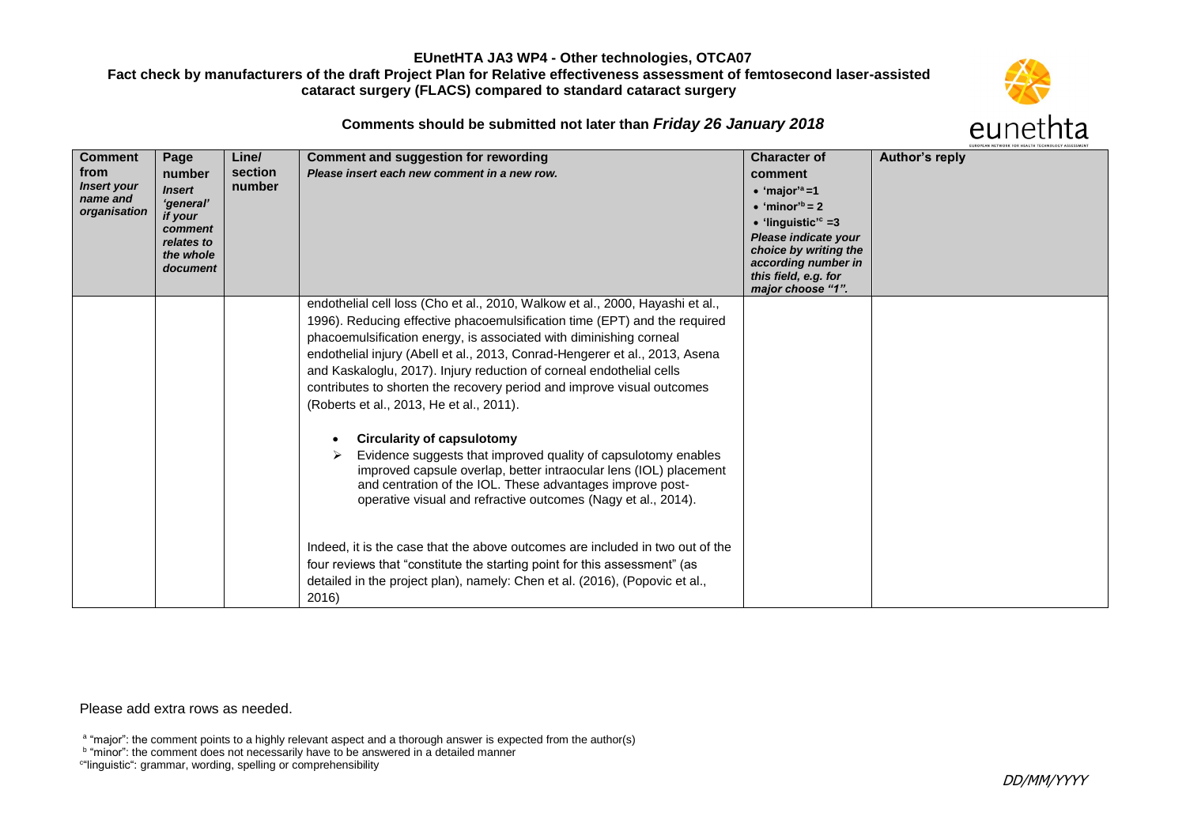### **EUnetHTA JA3 WP4 - Other technologies, OTCA07**

# **Fact check by manufacturers of the draft Project Plan for Relative effectiveness assessment of femtosecond laser-assisted cataract surgery (FLACS) compared to standard cataract surgery**



**Comments should be submitted not later than** *Friday 26 January 2018*

| <b>Comment</b><br>from<br><b>Insert your</b><br>name and<br>organisation | Page<br>number<br><b>Insert</b><br>'general'<br>if your<br>comment<br>relates to<br>the whole<br>document | Line/<br>section<br>number | <b>Comment and suggestion for rewording</b><br>Please insert each new comment in a new row.                                                                                                                                                                                                                                                                                                                                                                                                                   | <b>Character of</b><br>comment<br>$\bullet$ 'major' <sup>a</sup> =1<br>$\bullet$ 'minor <sup>'b</sup> = 2<br>• 'linguistic' <sup>c</sup> = 3<br>Please indicate your<br>choice by writing the<br>according number in<br>this field, e.g. for<br>major choose "1". | EUKOPEAN NEIWOKK FOR HEALTH TECHNOLOGY ASSESSMEI<br>Author's reply |
|--------------------------------------------------------------------------|-----------------------------------------------------------------------------------------------------------|----------------------------|---------------------------------------------------------------------------------------------------------------------------------------------------------------------------------------------------------------------------------------------------------------------------------------------------------------------------------------------------------------------------------------------------------------------------------------------------------------------------------------------------------------|-------------------------------------------------------------------------------------------------------------------------------------------------------------------------------------------------------------------------------------------------------------------|--------------------------------------------------------------------|
|                                                                          |                                                                                                           |                            | endothelial cell loss (Cho et al., 2010, Walkow et al., 2000, Hayashi et al.,<br>1996). Reducing effective phacoemulsification time (EPT) and the required<br>phacoemulsification energy, is associated with diminishing corneal<br>endothelial injury (Abell et al., 2013, Conrad-Hengerer et al., 2013, Asena<br>and Kaskaloglu, 2017). Injury reduction of corneal endothelial cells<br>contributes to shorten the recovery period and improve visual outcomes<br>(Roberts et al., 2013, He et al., 2011). |                                                                                                                                                                                                                                                                   |                                                                    |
|                                                                          |                                                                                                           |                            | <b>Circularity of capsulotomy</b><br>Evidence suggests that improved quality of capsulotomy enables<br>improved capsule overlap, better intraocular lens (IOL) placement<br>and centration of the IOL. These advantages improve post-<br>operative visual and refractive outcomes (Nagy et al., 2014).                                                                                                                                                                                                        |                                                                                                                                                                                                                                                                   |                                                                    |
|                                                                          |                                                                                                           |                            | Indeed, it is the case that the above outcomes are included in two out of the<br>four reviews that "constitute the starting point for this assessment" (as<br>detailed in the project plan), namely: Chen et al. (2016), (Popovic et al.,<br>2016)                                                                                                                                                                                                                                                            |                                                                                                                                                                                                                                                                   |                                                                    |

Please add extra rows as needed.

<sup>a</sup> "major": the comment points to a highly relevant aspect and a thorough answer is expected from the author(s)

<sup>b</sup> "minor": the comment does not necessarily have to be answered in a detailed manner

c "linguistic": grammar, wording, spelling or comprehensibility